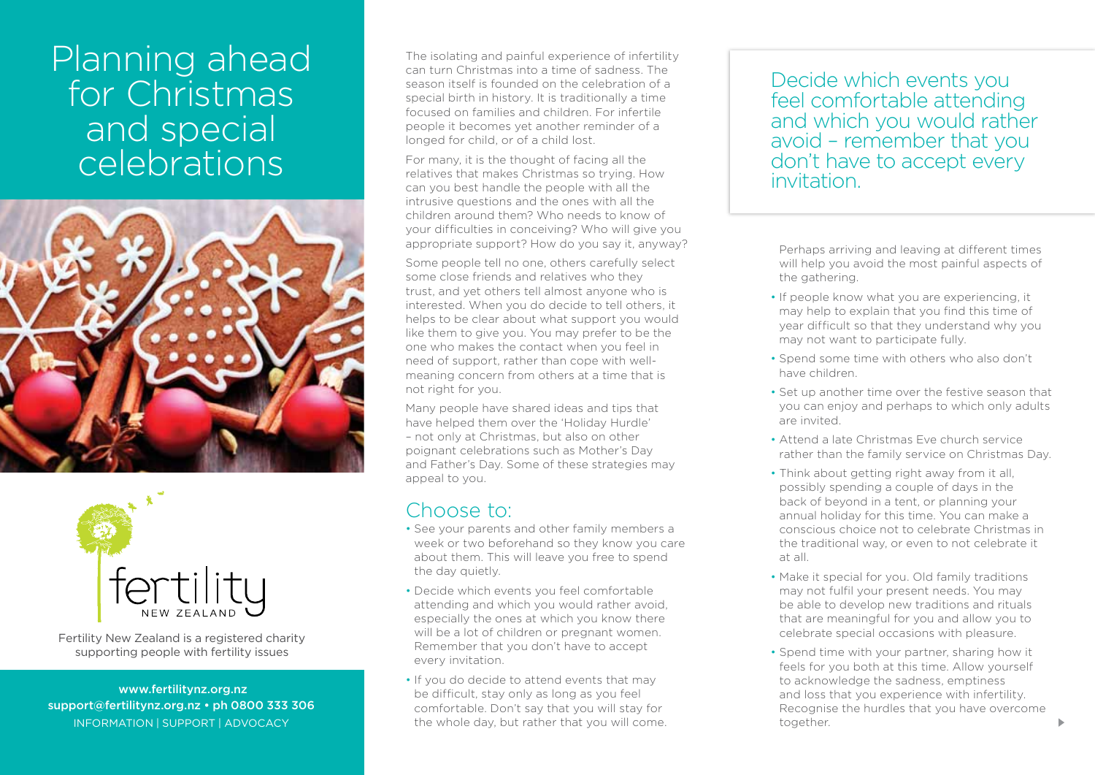# Planning ahead for Christmas and special celebrations





Fertility New Zealand is a registered charity supporting people with fertility issues

 www.fertilitynz.org.nz support@fertilitynz.org.nz • ph 0800 333 306 information | support | advocacy

The isolating and painful experience of infertility can turn Christmas into a time of sadness. The season itself is founded on the celebration of a special birth in history. It is traditionally a time focused on families and children. For infertile people it becomes yet another reminder of a longed for child, or of a child lost.

For many, it is the thought of facing all the relatives that makes Christmas so trying. How can you best handle the people with all the intrusive questions and the ones with all the children around them? Who needs to know of your difficulties in conceiving? Who will give you appropriate support? How do you say it, anyway?

Some people tell no one, others carefully select some close friends and relatives who they trust, and yet others tell almost anyone who is interested. When you do decide to tell others, it helps to be clear about what support you would like them to give you. You may prefer to be the one who makes the contact when you feel in need of support, rather than cope with wellmeaning concern from others at a time that is not right for you.

Many people have shared ideas and tips that have helped them over the 'Holiday Hurdle' – not only at Christmas, but also on other poignant celebrations such as Mother's Day and Father's Day. Some of these strategies may appeal to you.

### Choose to:

- See your parents and other family members a week or two beforehand so they know you care about them. This will leave you free to spend the day quietly.
- Decide which events you feel comfortable attending and which you would rather avoid, especially the ones at which you know there will be a lot of children or pregnant women. Remember that you don't have to accept every invitation.
- If you do decide to attend events that may be difficult, stay only as long as you feel comfortable. Don't say that you will stay for the whole day, but rather that you will come.

#### Decide which events you feel comfortable attending and which you would rather avoid – remember that you don't have to accept every invitation.

Perhaps arriving and leaving at different times will help you avoid the most painful aspects of the gathering.

- If people know what you are experiencing, it may help to explain that you find this time of year difficult so that they understand why you may not want to participate fully.
- Spend some time with others who also don't have children.
- Set up another time over the festive season that you can enjoy and perhaps to which only adults are invited.
- Attend a late Christmas Eve church service rather than the family service on Christmas Day.
- Think about getting right away from it all, possibly spending a couple of days in the back of beyond in a tent, or planning your annual holiday for this time. You can make a conscious choice not to celebrate Christmas in the traditional way, or even to not celebrate it at all.
- Make it special for you. Old family traditions may not fulfil your present needs. You may be able to develop new traditions and rituals that are meaningful for you and allow you to celebrate special occasions with pleasure.
- Spend time with your partner, sharing how it feels for you both at this time. Allow yourself to acknowledge the sadness, emptiness and loss that you experience with infertility. Recognise the hurdles that you have overcome together.

 $\blacktriangleright$